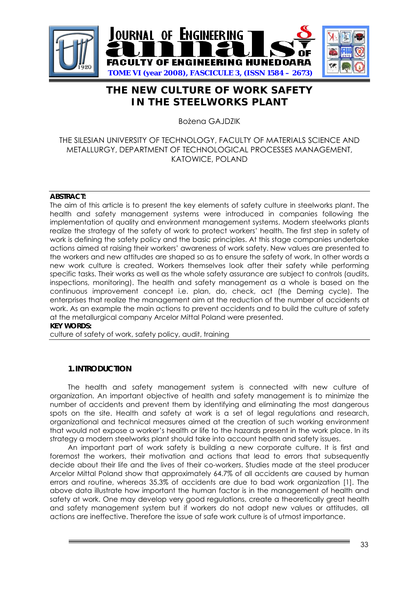

# **THE NEW CULTURE OF WORK SAFETY IN THE STEELWORKS PLANT**

Bożena GA IDZIK

## THE SILESIAN UNIVERSITY OF TECHNOLOGY, FACULTY OF MATERIALS SCIENCE AND METALLURGY, DEPARTMENT OF TECHNOLOGICAL PROCESSES MANAGEMENT, KATOWICE, POLAND

### **ABSTRACT:**

The aim of this article is to present the key elements of safety culture in steelworks plant. The health and safety management systems were introduced in companies following the implementation of quality and environment management systems. Modern steelworks plants realize the strategy of the safety of work to protect workers' health. The first step in safety of work is defining the safety policy and the basic principles. At this stage companies undertake actions aimed at raising their workers' awareness of work safety. New values are presented to the workers and new attitudes are shaped so as to ensure the safety of work. In other words a new work culture is created. Workers themselves look after their safety while performing specific tasks. Their works as well as the whole safety assurance are subject to controls (audits, inspections, monitoring). The health and safety management as a whole is based on the continuous improvement concept i.e. plan, do, check, act (the Deming cycle). The enterprises that realize the management aim at the reduction of the number of accidents at work*.* As an example the main actions to prevent accidents and to build the culture of safety at the metallurgical company Arcelor Mittal Poland were presented. **KEY WORDS:** 

culture of safety of work, safety policy, audit, training

## **1.INTRODUCTION**

The health and safety management system is connected with new culture of organization. An important objective of health and safety management is to minimize the number of accidents and prevent them by identifying and eliminating the most dangerous spots on the site. Health and safety at work is a set of legal regulations and research, organizational and technical measures aimed at the creation of such working environment that would not expose a worker's health or life to the hazards present in the work place. In its strategy a modern steelworks plant should take into account health and safety issues.

An important part of work safety is building a new corporate culture. It is first and foremost the workers, their motivation and actions that lead to errors that subsequently decide about their life and the lives of their co-workers. Studies made at the steel producer Arcelor Mittal Poland show that approximately 64.7% of all accidents are caused by human errors and routine, whereas 35.3% of accidents are due to bad work organization [1]. The above data illustrate how important the human factor is in the management of health and safety at work. One may develop very good regulations, create a theoretically great health and safety management system but if workers do not adopt new values or attitudes, all actions are ineffective. Therefore the issue of safe work culture is of utmost importance.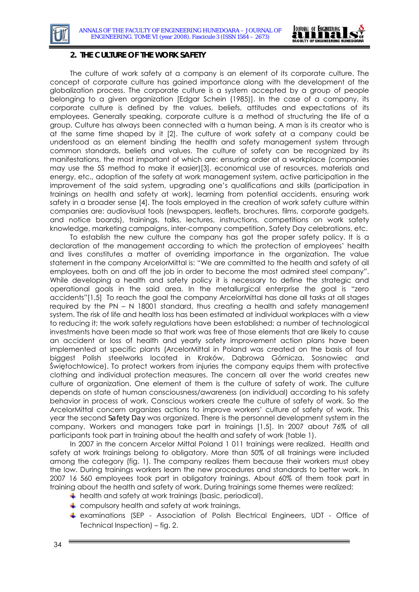



#### **2. THE CULTURE OF THE WORK SAFETY**

The culture of work safety at a company is an element of its corporate culture. The concept of corporate culture has gained importance along with the development of the globalization process. The corporate culture is a system accepted by a group of people belonging to a given organization [Edgar Schein (1985)]. In the case of a company, its corporate culture is defined by the values, beliefs, attitudes and expectations of its employees. Generally speaking, corporate culture is a method of structuring the life of a group. Culture has always been connected with a human being. A man is its creator who is at the same time shaped by it [2]. The culture of work safety at a company could be understood as an element binding the health and safety management system through common standards, beliefs and values. The culture of safety can be recognized by its manifestations, the most important of which are: ensuring order at a workplace (companies may use the 5S method to make it easier)[3], economical use of resources, materials and energy, etc., adoption of the safety at work management system, active participation in the improvement of the said system, upgrading one's qualifications and skills (participation in trainings on health and safety at work), learning from potential accidents, ensuring work safety in a broader sense [4]. The tools employed in the creation of work safety culture within companies are: audiovisual tools (newspapers, leaflets, brochures, films, corporate gadgets, and notice boards), trainings, talks, lectures, instructions, competitions on work safety knowledge, marketing campaigns, inter-company competition, Safety Day celebrations, etc.

To establish the new culture the company has got the proper safety policy. It is a declaration of the management according to which the protection of employees' health and lives constitutes a matter of overriding importance in the organization. The value statement in the company ArcelorMittal is: "We are committed to the health and safety of all employees, both on and off the job in order to become the most admired steel company". While developing a health and safety policy it is necessary to define the strategic and operational goals in the said area. In the metallurgical enterprise the goal is "zero accidents"[1,5] To reach the goal the company ArcelorMittal has done all tasks at all stages required by the PN – N 18001 standard, thus creating a health and safety management system. The risk of life and health loss has been estimated at individual workplaces with a view to reducing it; the work safety regulations have been established; a number of technological investments have been made so that work was free of those elements that are likely to cause an accident or loss of health and yearly safety improvement action plans have been implemented at specific plants (ArcelorMittal in Poland was created on the basis of four biggest Polish steelworks located in Kraków, Dąbrowa Górnicza, Sosnowiec and Świętochłowice). To protect workers from injuries the company equips them with protective clothing and individual protection measures. The concern all over the world creates new culture of organization. One element of them is the culture of safety of work. The culture depends on state of human consciousness/awareness (on individual) according to his safety behavior in process of work. Conscious workers create the culture of safety of work. So the ArcelorMittal concern organizes actions to improve workers' culture of safety of work. This year the second *Safety Day* was organized. There is the personnel development system in the company. Workers and managers take part in trainings [1,5]. In 2007 about 76% of all participants took part in training about the health and safety of work (table 1).

In 2007 in the concern Arcelor Mittal Poland 1 011 trainings were realized. Health and safety at work trainings belong to obligatory. More than 50% of all trainings were included among the category (fig. 1). The company realizes them because their workers must obey the low. During trainings workers learn the new procedures and standards to better work. In 2007 16 560 employees took part in obligatory trainings. About 60% of them took part in training about the health and safety of work. During trainings some themes were realized:

- $\downarrow$  health and safety at work trainings (basic, periodical),
- $\ddot{+}$  compulsory health and safety at work trainings,
- examinations (SEP Association of Polish Electrical Engineers, UDT Office of Technical Inspection) – fig. 2.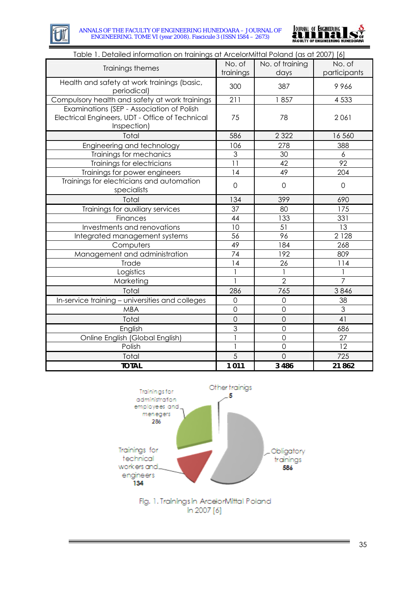



| Table 1. Detailed information on trainings at ArcelorMittal Poland (as at 2007) [6]                         |                     |                         |                        |
|-------------------------------------------------------------------------------------------------------------|---------------------|-------------------------|------------------------|
| Trainings themes                                                                                            | No. of<br>trainings | No. of training<br>days | No. of<br>participants |
| Health and safety at work trainings (basic,<br>periodical)                                                  | 300                 | 387                     | 9966                   |
| Compulsory health and safety at work trainings                                                              | 211                 | 1857                    | 4 5 3 3                |
| Examinations (SEP - Association of Polish<br>Electrical Engineers, UDT - Office of Technical<br>Inspection) | 75                  | 78                      | 2061                   |
| Total                                                                                                       | 586                 | 2 3 2 2                 | 16 560                 |
| Engineering and technology                                                                                  | 106                 | 278                     | 388                    |
| Trainings for mechanics                                                                                     | 3                   | 30                      | 6                      |
| Trainings for electricians                                                                                  | 11                  | 42                      | 92                     |
| Trainings for power engineers                                                                               | 14                  | 49                      | 204                    |
| Trainings for electricians and automation<br>specialists                                                    | $\overline{0}$      | $\mathbf 0$             | $\mathbf 0$            |
| Total                                                                                                       | 134                 | 399                     | 690                    |
| Trainings for auxiliary services                                                                            | 37                  | 80                      | 175                    |
| Finances                                                                                                    | 44                  | 133                     | 331                    |
| Investments and renovations                                                                                 | 10                  | 51                      | 13                     |
| Integrated management systems                                                                               | 56                  | 96                      | 2 1 2 8                |
| Computers                                                                                                   | 49                  | 184                     | 268                    |
| Management and administration                                                                               | 74                  | 192                     | 809                    |
| Trade                                                                                                       | 14                  | 26                      | 114                    |
| Logistics                                                                                                   |                     |                         |                        |
| Marketing                                                                                                   | 1                   | $\overline{2}$          | $\overline{7}$         |
| Total                                                                                                       | 286                 | 765                     | 3846                   |
| In-service training - universities and colleges                                                             | $\mathbf 0$         | $\mathbf 0$             | 38                     |
| <b>MBA</b>                                                                                                  | $\overline{O}$      | $\overline{0}$          | 3                      |
| Total                                                                                                       | $\overline{O}$      | $\overline{O}$          | 41                     |
| English                                                                                                     | $\overline{3}$      | $\overline{O}$          | 686                    |
| Online English (Global English)                                                                             |                     | $\overline{O}$          | 27                     |
| Polish                                                                                                      |                     | $\overline{O}$          | 12                     |
| Total                                                                                                       | 5                   | $\overline{O}$          | 725                    |
| <b>TOTAL</b>                                                                                                | 1011                | 3 4 8 6                 | 21862                  |



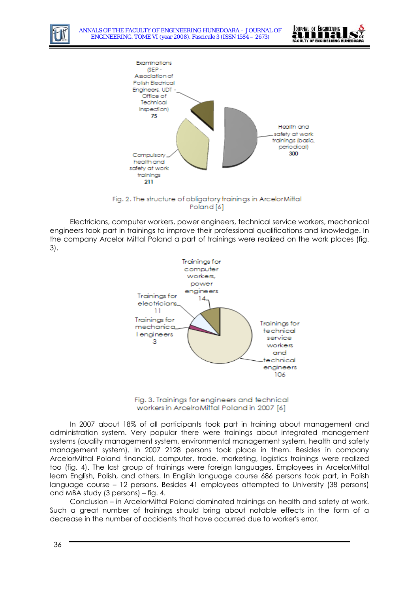

ANNALS OF THE FACULTY OF ENGINEERING HUNEDOARA – JOURNAL OF ENGINEERING. TOME VI (year 2008). Fascicule 3 (ISSN 1584 – 2673)





Fig. 2. The structure of obligatory trainings in ArcelorMittal Poland [6]

Electricians, computer workers, power engineers, technical service workers, mechanical engineers took part in trainings to improve their professional qualifications and knowledge. In the company Arcelor Mittal Poland a part of trainings were realized on the work places (fig. 3).



Fig. 3. Trainings for engineers and technical workers in ArcelroMittal Poland in 2007 [6]

In 2007 about 18% of all participants took part in training about management and administration system. Very popular there were trainings about integrated management systems (quality management system, environmental management system, health and safety management system). In 2007 2128 persons took place in them. Besides in company ArcelorMittal Poland financial, computer, trade, marketing, logistics trainings were realized too (fig. 4). The last group of trainings were foreign languages. Employees in ArcelorMittal learn English, Polish, and others. In English language course 686 persons took part, in Polish language course – 12 persons. Besides 41 employees attempted to University (38 persons) and MBA study (3 persons) – fig. 4.

Conclusion – in ArcelorMittal Poland dominated trainings on health and safety at work. Such a great number of trainings should bring about notable effects in the form of a decrease in the number of accidents that have occurred due to worker's error.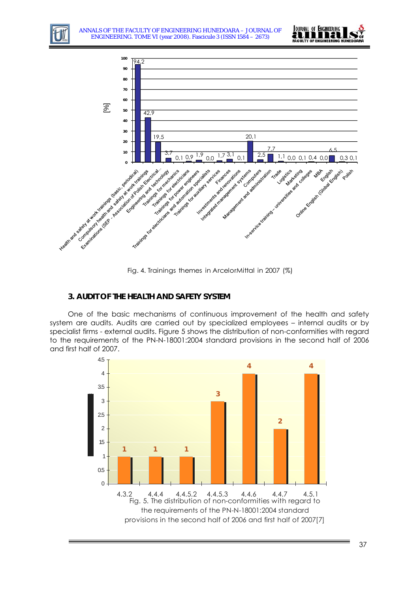



Fig. 4. Trainings themes in ArcelorMittal in 2007 (%)

## **3. AUDIT OF THE HEALTH AND SAFETY SYSTEM**

One of the basic mechanisms of continuous improvement of the health and safety system are audits. Audits are carried out by specialized employees – internal audits or by specialist firms - external audits. Figure 5 shows the distribution of non-conformities with regard to the requirements of the PN-N-18001:2004 standard provisions in the second half of 2006 and first half of 2007.